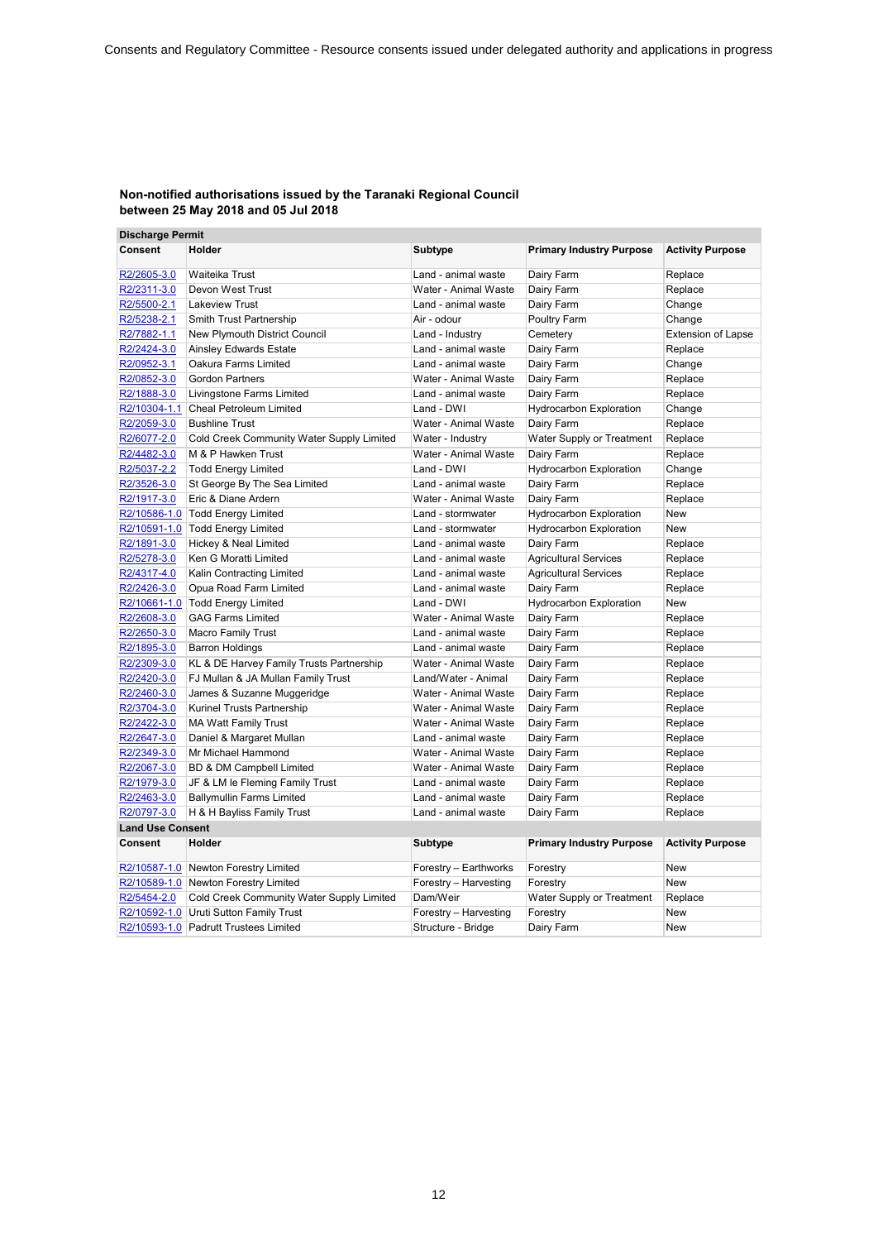| <b>Discharge Permit</b> |                                           |                       |                                 |                           |
|-------------------------|-------------------------------------------|-----------------------|---------------------------------|---------------------------|
| <b>Consent</b>          | Holder                                    | Subtype               | <b>Primary Industry Purpose</b> | <b>Activity Purpose</b>   |
| R2/2605-3.0             | Waiteika Trust                            | Land - animal waste   | Dairy Farm                      | Replace                   |
| R2/2311-3.0             | Devon West Trust                          | Water - Animal Waste  | Dairy Farm                      | Replace                   |
| R2/5500-2.1             | <b>Lakeview Trust</b>                     | Land - animal waste   | Dairy Farm                      | Change                    |
| R2/5238-2.1             | Smith Trust Partnership                   | Air - odour           | Poultry Farm                    | Change                    |
| R2/7882-1.1             | New Plymouth District Council             | Land - Industry       | Cemetery                        | <b>Extension of Lapse</b> |
| R2/2424-3.0             | <b>Ainsley Edwards Estate</b>             | Land - animal waste   | Dairy Farm                      | Replace                   |
| R2/0952-3.1             | Oakura Farms Limited                      | Land - animal waste   | Dairy Farm                      | Change                    |
| R2/0852-3.0             | <b>Gordon Partners</b>                    | Water - Animal Waste  | Dairy Farm                      | Replace                   |
| R2/1888-3.0             | Livingstone Farms Limited                 | Land - animal waste   | Dairy Farm                      | Replace                   |
|                         | R2/10304-1.1 Cheal Petroleum Limited      | Land - DWI            | <b>Hydrocarbon Exploration</b>  | Change                    |
| R2/2059-3.0             | <b>Bushline Trust</b>                     | Water - Animal Waste  | Dairy Farm                      | Replace                   |
| R2/6077-2.0             | Cold Creek Community Water Supply Limited | Water - Industry      | Water Supply or Treatment       | Replace                   |
| R2/4482-3.0             | M & P Hawken Trust                        | Water - Animal Waste  | Dairy Farm                      | Replace                   |
| R2/5037-2.2             | <b>Todd Energy Limited</b>                | Land - DWI            | <b>Hydrocarbon Exploration</b>  | Change                    |
| R2/3526-3.0             | St George By The Sea Limited              | Land - animal waste   | Dairy Farm                      | Replace                   |
| R2/1917-3.0             | Eric & Diane Ardern                       | Water - Animal Waste  | Dairy Farm                      | Replace                   |
|                         | R2/10586-1.0 Todd Energy Limited          | Land - stormwater     | <b>Hydrocarbon Exploration</b>  | New                       |
|                         | R2/10591-1.0 Todd Energy Limited          | Land - stormwater     | <b>Hydrocarbon Exploration</b>  | <b>New</b>                |
| R2/1891-3.0             | Hickey & Neal Limited                     | Land - animal waste   | Dairy Farm                      | Replace                   |
| R2/5278-3.0             | Ken G Moratti Limited                     | Land - animal waste   | <b>Agricultural Services</b>    | Replace                   |
| R2/4317-4.0             | Kalin Contracting Limited                 | Land - animal waste   | <b>Agricultural Services</b>    | Replace                   |
| R2/2426-3.0             | Opua Road Farm Limited                    | Land - animal waste   | Dairy Farm                      | Replace                   |
|                         | R2/10661-1.0 Todd Energy Limited          | Land - DWI            | <b>Hydrocarbon Exploration</b>  | <b>New</b>                |
| R2/2608-3.0             | <b>GAG Farms Limited</b>                  | Water - Animal Waste  | Dairy Farm                      | Replace                   |
| R2/2650-3.0             | <b>Macro Family Trust</b>                 | Land - animal waste   | Dairy Farm                      | Replace                   |
| R2/1895-3.0             | <b>Barron Holdings</b>                    | Land - animal waste   | Dairy Farm                      | Replace                   |
| R2/2309-3.0             | KL & DE Harvey Family Trusts Partnership  | Water - Animal Waste  | Dairy Farm                      | Replace                   |
| R2/2420-3.0             | FJ Mullan & JA Mullan Family Trust        | Land/Water - Animal   | Dairy Farm                      | Replace                   |
| R2/2460-3.0             | James & Suzanne Muggeridge                | Water - Animal Waste  | Dairy Farm                      | Replace                   |
| R2/3704-3.0             | Kurinel Trusts Partnership                | Water - Animal Waste  | Dairy Farm                      | Replace                   |
| R2/2422-3.0             | <b>MA Watt Family Trust</b>               | Water - Animal Waste  | Dairy Farm                      | Replace                   |
| R2/2647-3.0             | Daniel & Margaret Mullan                  | Land - animal waste   | Dairy Farm                      | Replace                   |
| R2/2349-3.0             | Mr Michael Hammond                        | Water - Animal Waste  | Dairy Farm                      | Replace                   |
| R2/2067-3.0             | BD & DM Campbell Limited                  | Water - Animal Waste  | Dairy Farm                      | Replace                   |
| R2/1979-3.0             | JF & LM le Fleming Family Trust           | Land - animal waste   | Dairy Farm                      | Replace                   |
| R2/2463-3.0             | <b>Ballymullin Farms Limited</b>          | Land - animal waste   | Dairy Farm                      | Replace                   |
| R2/0797-3.0             | H & H Bayliss Family Trust                | Land - animal waste   | Dairy Farm                      | Replace                   |
| <b>Land Use Consent</b> |                                           |                       |                                 |                           |
| <b>Consent</b>          | Holder                                    | Subtype               | <b>Primary Industry Purpose</b> | <b>Activity Purpose</b>   |
|                         | R2/10587-1.0 Newton Forestry Limited      | Forestry - Earthworks | Forestry                        | New                       |
|                         | R2/10589-1.0 Newton Forestry Limited      | Forestry - Harvesting | Forestry                        | <b>New</b>                |
| R2/5454-2.0             | Cold Creek Community Water Supply Limited | Dam/Weir              | Water Supply or Treatment       | Replace                   |
|                         | R2/10592-1.0 Uruti Sutton Family Trust    | Forestry - Harvesting | Forestry                        | <b>New</b>                |
|                         | R2/10593-1.0 Padrutt Trustees Limited     | Structure - Bridge    | Dairy Farm                      | <b>New</b>                |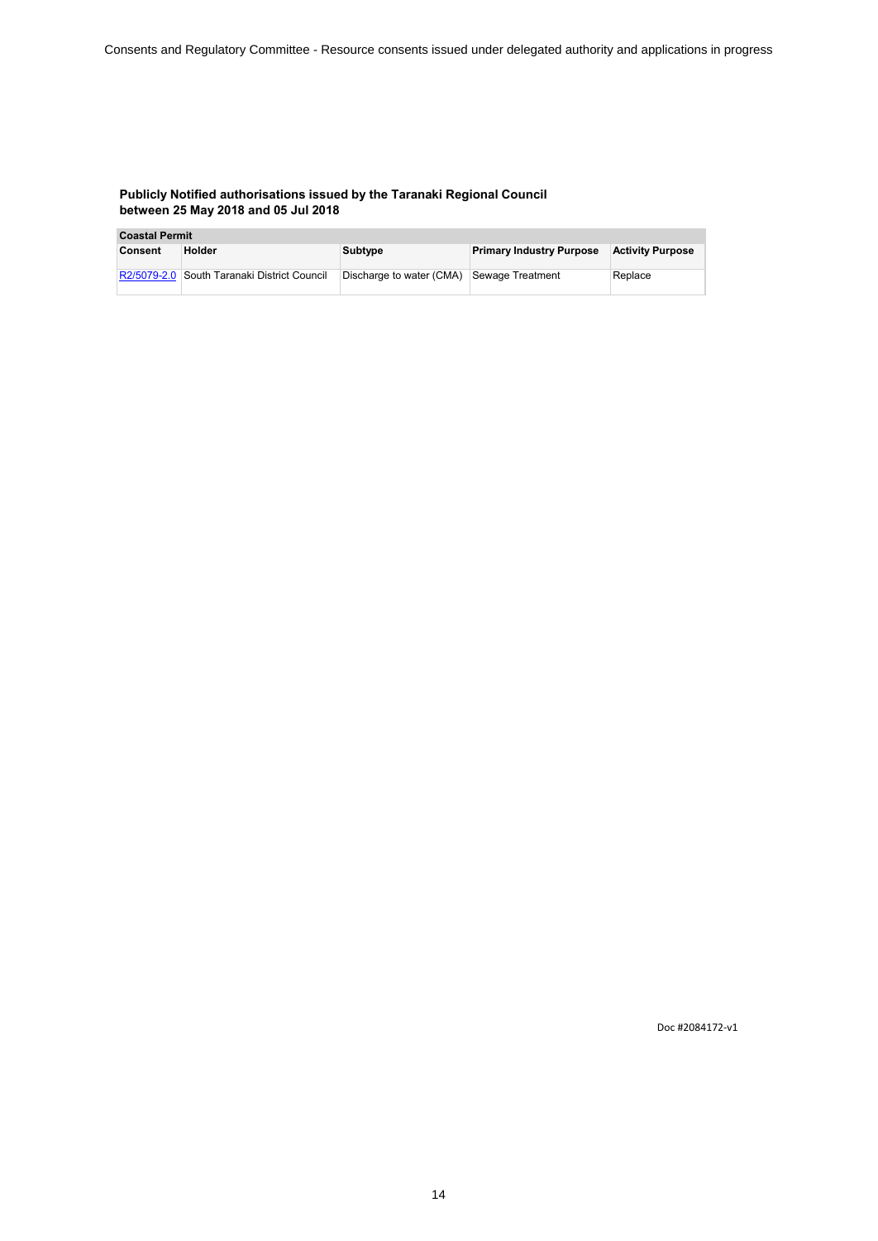| <b>Coastal Permit</b> |                                 |                          |                                 |                         |
|-----------------------|---------------------------------|--------------------------|---------------------------------|-------------------------|
| Consent               | Holder                          | Subtype                  | <b>Primary Industry Purpose</b> | <b>Activity Purpose</b> |
|                       |                                 |                          |                                 |                         |
| R2/5079-2.0           | South Taranaki District Council | Discharge to water (CMA) | Sewage Treatment                | Replace                 |
|                       |                                 |                          |                                 |                         |

Doc #2084172-v1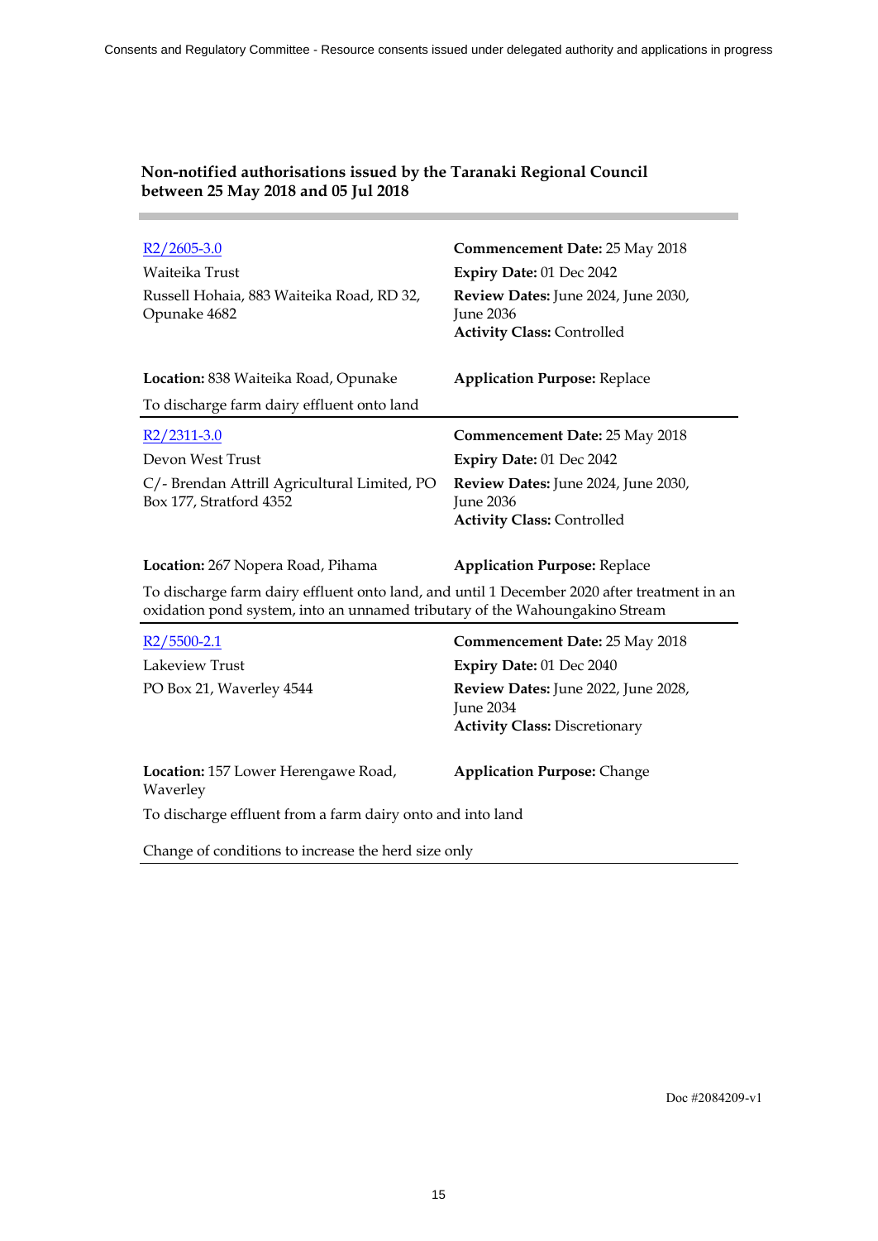| $R2/2605-3.0$                                                                                                                                                              | <b>Commencement Date: 25 May 2018</b>                                                 |  |
|----------------------------------------------------------------------------------------------------------------------------------------------------------------------------|---------------------------------------------------------------------------------------|--|
| Waiteika Trust                                                                                                                                                             | Expiry Date: 01 Dec 2042                                                              |  |
| Russell Hohaia, 883 Waiteika Road, RD 32,<br>Opunake 4682                                                                                                                  | Review Dates: June 2024, June 2030,<br>June 2036<br><b>Activity Class: Controlled</b> |  |
| Location: 838 Waiteika Road, Opunake                                                                                                                                       | <b>Application Purpose: Replace</b>                                                   |  |
| To discharge farm dairy effluent onto land                                                                                                                                 |                                                                                       |  |
| $R2/2311-3.0$                                                                                                                                                              | <b>Commencement Date: 25 May 2018</b>                                                 |  |
| Devon West Trust                                                                                                                                                           | Expiry Date: 01 Dec 2042                                                              |  |
| C/- Brendan Attrill Agricultural Limited, PO<br>Box 177, Stratford 4352                                                                                                    | Review Dates: June 2024, June 2030,<br>June 2036<br><b>Activity Class: Controlled</b> |  |
| <b>Location:</b> 267 Nopera Road, Pihama                                                                                                                                   | <b>Application Purpose: Replace</b>                                                   |  |
| To discharge farm dairy effluent onto land, and until 1 December 2020 after treatment in an<br>oxidation pond system, into an unnamed tributary of the Wahoungakino Stream |                                                                                       |  |
| $R2/5500-2.1$                                                                                                                                                              | Commencement Date: 25 May 2018                                                        |  |
| Lakeview Trust                                                                                                                                                             | Expiry Date: 01 Dec 2040                                                              |  |
| PO Box 21, Waverley 4544                                                                                                                                                   | Review Dates: June 2022, June 2028,                                                   |  |

June 2034

**Location:** 157 Lower Herengawe Road,

To discharge effluent from a farm dairy onto and into land

Change of conditions to increase the herd size only

Waverley

**Activity Class:** Discretionary

**Application Purpose:** Change

# **Non-notified authorisations issued by the Taranaki Regional Council between 25 May 2018 and 05 Jul 2018**

Doc #2084209-v1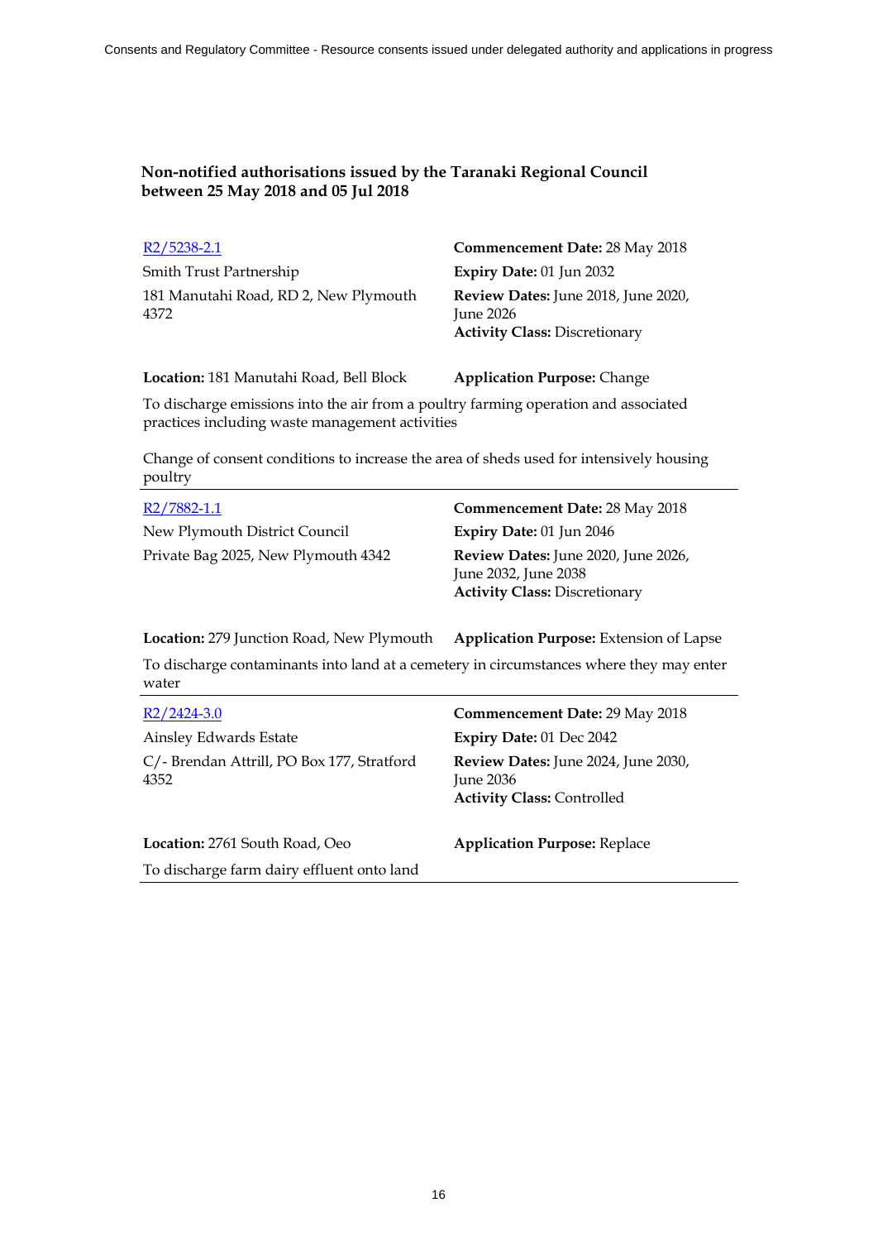| $R2/5238-2.1$                         | <b>Commencement Date: 28 May 2018</b> |
|---------------------------------------|---------------------------------------|
| Smith Trust Partnership               | Expiry Date: $01$ Jun 2032            |
| 181 Manutahi Road, RD 2, New Plymouth | Review Dates: June 2018, June 2020,   |
| 4372                                  | June $2026$                           |
|                                       | <b>Activity Class: Discretionary</b>  |

**Location:** 181 Manutahi Road, Bell Block **Application Purpose:** Change

To discharge emissions into the air from a poultry farming operation and associated practices including waste management activities

Change of consent conditions to increase the area of sheds used for intensively housing poultry

| R2/7882-1.1                         | <b>Commencement Date: 28 May 2018</b>                                                               |
|-------------------------------------|-----------------------------------------------------------------------------------------------------|
| New Plymouth District Council       | Expiry Date: 01 Jun 2046                                                                            |
| Private Bag 2025, New Plymouth 4342 | Review Dates: June 2020, June 2026,<br>June 2032, June 2038<br><b>Activity Class: Discretionary</b> |

**Location:** 279 Junction Road, New Plymouth **Application Purpose:** Extension of Lapse

To discharge contaminants into land at a cemetery in circumstances where they may enter water

| $R2/2424-3.0$                                      | Commencement Date: 29 May 2018                                                          |
|----------------------------------------------------|-----------------------------------------------------------------------------------------|
| Ainsley Edwards Estate                             | Expiry Date: 01 Dec 2042                                                                |
| C/- Brendan Attrill, PO Box 177, Stratford<br>4352 | Review Dates: June 2024, June 2030,<br>June $2036$<br><b>Activity Class: Controlled</b> |
| Location: 2761 South Road, Oeo                     | <b>Application Purpose: Replace</b>                                                     |
| To discharge farm dairy effluent onto land         |                                                                                         |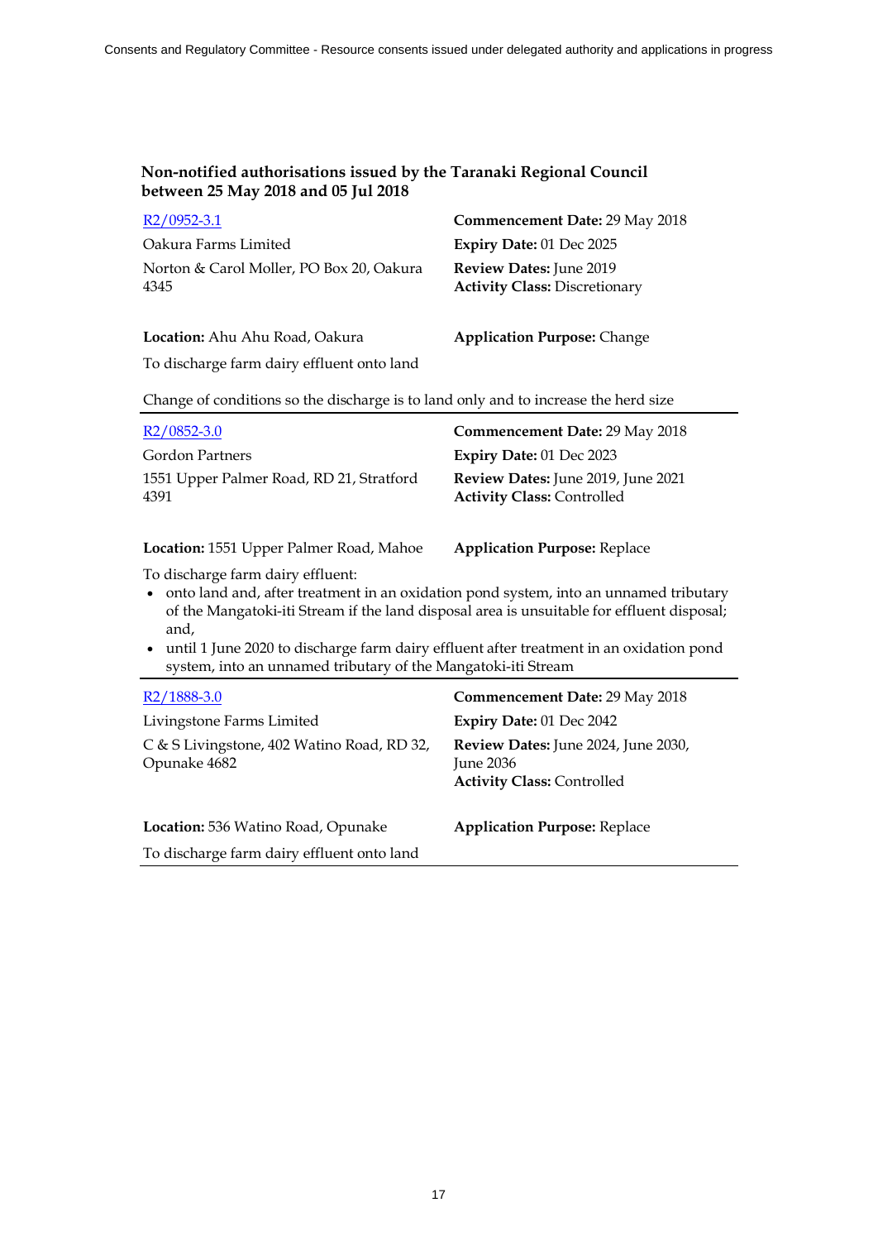| $R2/0952-3.1$                            | <b>Commencement Date: 29 May 2018</b> |
|------------------------------------------|---------------------------------------|
| Oakura Farms Limited                     | Expiry Date: $01$ Dec 2025            |
| Norton & Carol Moller, PO Box 20, Oakura | <b>Review Dates:</b> June 2019        |
| 4345                                     | <b>Activity Class: Discretionary</b>  |
|                                          |                                       |

#### **Location:** Ahu Ahu Road, Oakura **Application Purpose:** Change

To discharge farm dairy effluent onto land

Change of conditions so the discharge is to land only and to increase the herd size

| $R2/0852-3.0$                                    | Commencement Date: 29 May 2018                                                 |
|--------------------------------------------------|--------------------------------------------------------------------------------|
| Gordon Partners                                  | Expiry Date: 01 Dec 2023                                                       |
| 1551 Upper Palmer Road, RD 21, Stratford<br>4391 | <b>Review Dates:</b> June 2019, June 2021<br><b>Activity Class: Controlled</b> |

**Location:** 1551 Upper Palmer Road, Mahoe **Application Purpose:** Replace

To discharge farm dairy effluent:

- ∑ onto land and, after treatment in an oxidation pond system, into an unnamed tributary of the Mangatoki-iti Stream if the land disposal area is unsuitable for effluent disposal; and,
- ∑ until 1 June 2020 to discharge farm dairy effluent after treatment in an oxidation pond system, into an unnamed tributary of the Mangatoki-iti Stream

| R <sub>2</sub> /1888-3.0                                   | Commencement Date: 29 May 2018                                                          |
|------------------------------------------------------------|-----------------------------------------------------------------------------------------|
| Livingstone Farms Limited                                  | Expiry Date: 01 Dec 2042                                                                |
| C & S Livingstone, 402 Watino Road, RD 32,<br>Opunake 4682 | Review Dates: June 2024, June 2030,<br>June $2036$<br><b>Activity Class: Controlled</b> |
| Location: 536 Watino Road, Opunake                         | <b>Application Purpose: Replace</b>                                                     |
| To discharge farm dairy effluent onto land                 |                                                                                         |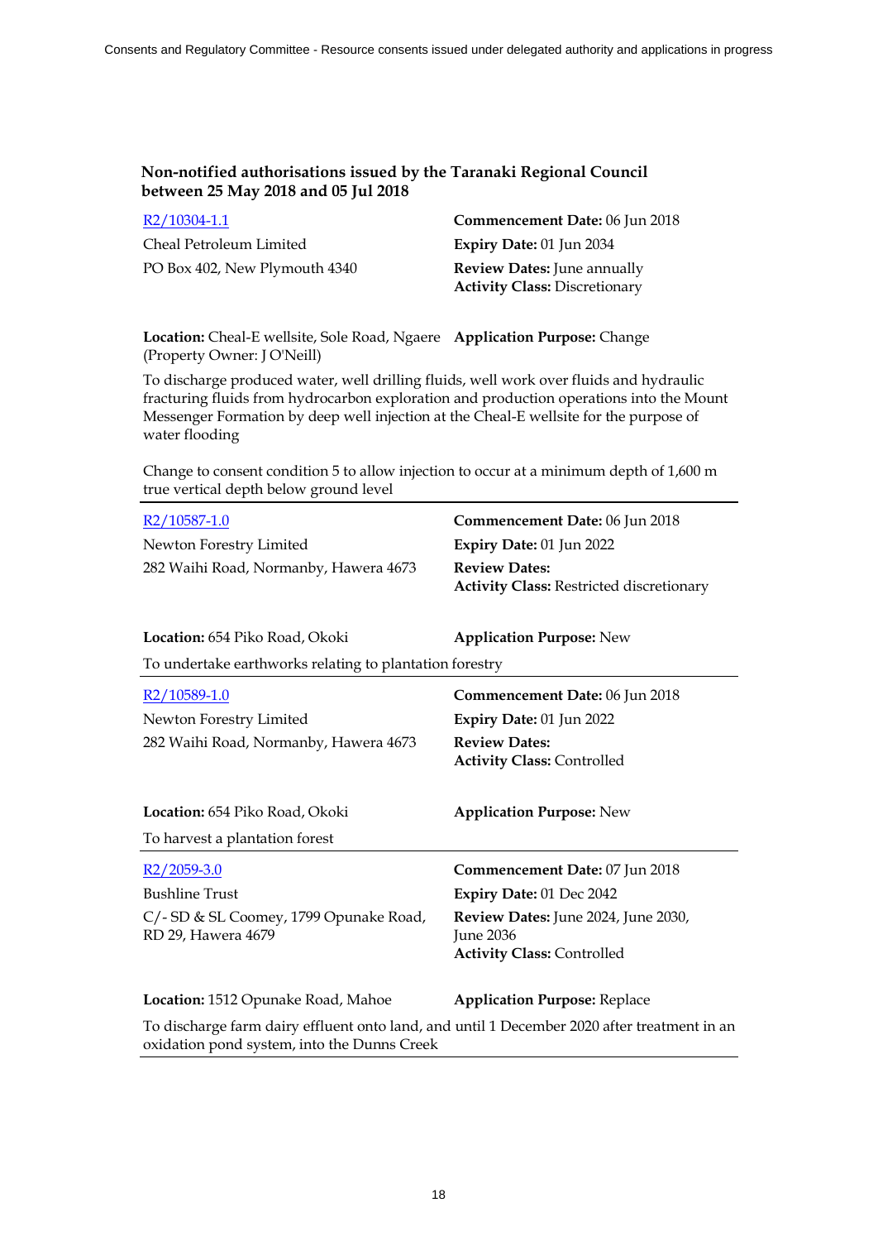| R2/10304-1.1                  |  |
|-------------------------------|--|
| Cheal Petroleum Limited       |  |
| PO Box 402, New Plymouth 4340 |  |

**Commencement Date:** 06 Jun 2018 Expiry Date: 01 Jun 2034 **Review Dates:** June annually **Activity Class:** Discretionary

**Location:** Cheal-E wellsite, Sole Road, Ngaere **Application Purpose:** Change (Property Owner: J O'Neill)

To discharge produced water, well drilling fluids, well work over fluids and hydraulic fracturing fluids from hydrocarbon exploration and production operations into the Mount Messenger Formation by deep well injection at the Cheal-E wellsite for the purpose of water flooding

Change to consent condition 5 to allow injection to occur at a minimum depth of 1,600 m true vertical depth below ground level

| R2/10587-1.0                                                                                                                               | Commencement Date: 06 Jun 2018                                                               |
|--------------------------------------------------------------------------------------------------------------------------------------------|----------------------------------------------------------------------------------------------|
| Newton Forestry Limited                                                                                                                    | Expiry Date: 01 Jun 2022                                                                     |
| 282 Waihi Road, Normanby, Hawera 4673                                                                                                      | <b>Review Dates:</b><br><b>Activity Class: Restricted discretionary</b>                      |
| Location: 654 Piko Road, Okoki                                                                                                             | <b>Application Purpose: New</b>                                                              |
| To undertake earthworks relating to plantation forestry                                                                                    |                                                                                              |
| R2/10589-1.0                                                                                                                               | Commencement Date: 06 Jun 2018                                                               |
| Newton Forestry Limited                                                                                                                    | Expiry Date: 01 Jun 2022                                                                     |
| 282 Waihi Road, Normanby, Hawera 4673                                                                                                      | <b>Review Dates:</b><br><b>Activity Class: Controlled</b>                                    |
| Location: 654 Piko Road, Okoki                                                                                                             | <b>Application Purpose: New</b>                                                              |
| To harvest a plantation forest                                                                                                             |                                                                                              |
| $R2/2059-3.0$                                                                                                                              | Commencement Date: 07 Jun 2018                                                               |
| <b>Bushline Trust</b>                                                                                                                      | Expiry Date: 01 Dec 2042                                                                     |
| C/- SD & SL Coomey, 1799 Opunake Road,<br>RD 29, Hawera 4679                                                                               | Review Dates: June 2024, June 2030,<br><b>Iune 2036</b><br><b>Activity Class: Controlled</b> |
| Location: 1512 Opunake Road, Mahoe                                                                                                         | <b>Application Purpose: Replace</b>                                                          |
| To discharge farm dairy effluent onto land, and until 1 December 2020 after treatment in an<br>oxidation pond system, into the Dunns Creek |                                                                                              |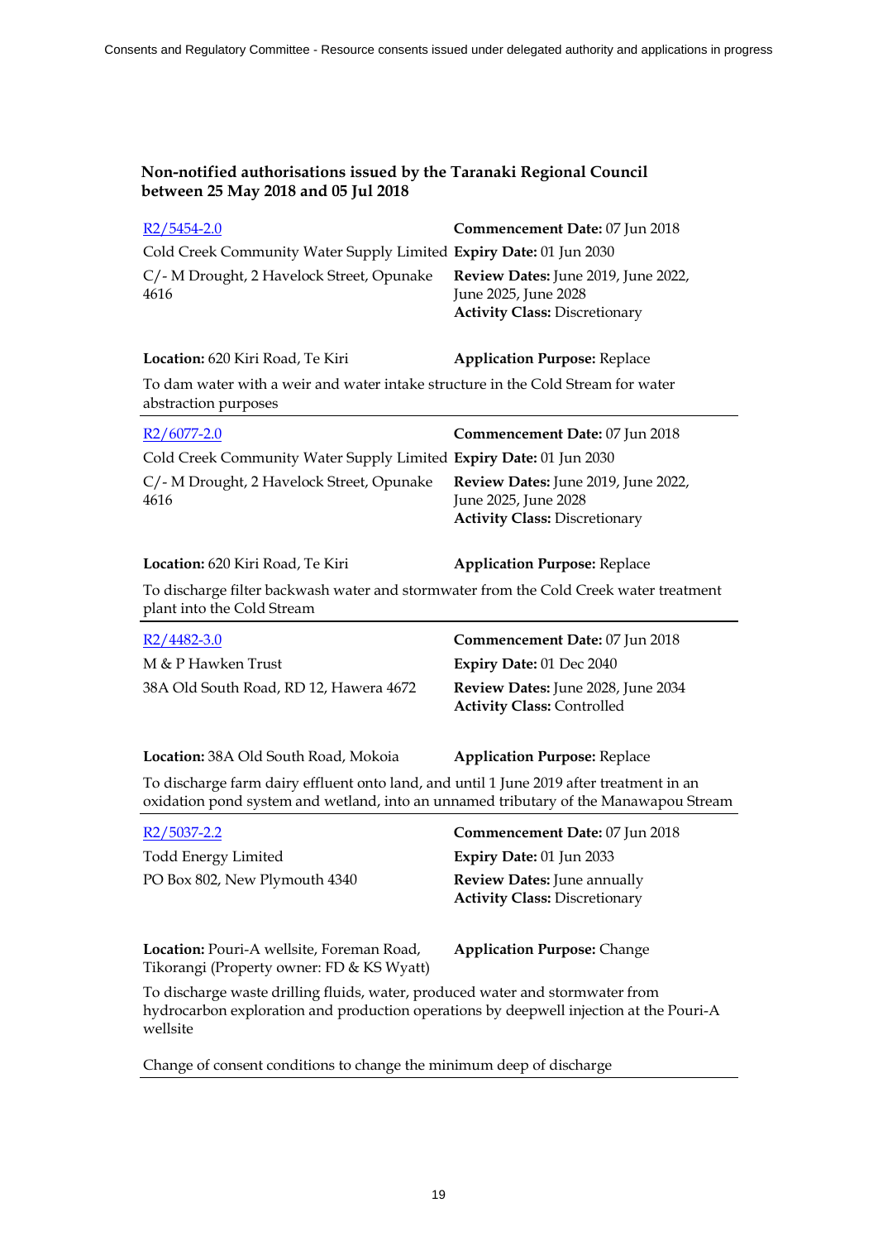| Non-notified authorisations issued by the Taranaki Regional Council<br>between 25 May 2018 and 05 Jul 2018                                                                      |                                                                                                     |  |
|---------------------------------------------------------------------------------------------------------------------------------------------------------------------------------|-----------------------------------------------------------------------------------------------------|--|
| $R2/5454-2.0$                                                                                                                                                                   | Commencement Date: 07 Jun 2018                                                                      |  |
| Cold Creek Community Water Supply Limited Expiry Date: 01 Jun 2030                                                                                                              |                                                                                                     |  |
| C/- M Drought, 2 Havelock Street, Opunake<br>4616                                                                                                                               | Review Dates: June 2019, June 2022,<br>June 2025, June 2028<br><b>Activity Class: Discretionary</b> |  |
| Location: 620 Kiri Road, Te Kiri                                                                                                                                                | <b>Application Purpose: Replace</b>                                                                 |  |
| To dam water with a weir and water intake structure in the Cold Stream for water<br>abstraction purposes                                                                        |                                                                                                     |  |
| $R2/6077 - 2.0$                                                                                                                                                                 | Commencement Date: 07 Jun 2018                                                                      |  |
| Cold Creek Community Water Supply Limited Expiry Date: 01 Jun 2030                                                                                                              |                                                                                                     |  |
| C/- M Drought, 2 Havelock Street, Opunake<br>4616                                                                                                                               | Review Dates: June 2019, June 2022,<br>June 2025, June 2028<br><b>Activity Class: Discretionary</b> |  |
| Location: 620 Kiri Road, Te Kiri                                                                                                                                                | <b>Application Purpose: Replace</b>                                                                 |  |
| To discharge filter backwash water and stormwater from the Cold Creek water treatment<br>plant into the Cold Stream                                                             |                                                                                                     |  |
| $R2/4482-3.0$                                                                                                                                                                   | Commencement Date: 07 Jun 2018                                                                      |  |
| M & P Hawken Trust                                                                                                                                                              | <b>Expiry Date: 01 Dec 2040</b>                                                                     |  |
| 38A Old South Road, RD 12, Hawera 4672                                                                                                                                          | Review Dates: June 2028, June 2034<br><b>Activity Class: Controlled</b>                             |  |
| Location: 38A Old South Road, Mokoia                                                                                                                                            | <b>Application Purpose: Replace</b>                                                                 |  |
| To discharge farm dairy effluent onto land, and until 1 June 2019 after treatment in an<br>oxidation pond system and wetland, into an unnamed tributary of the Manawapou Stream |                                                                                                     |  |
| R <sub>2</sub> /5037-2.2                                                                                                                                                        | Commencement Date: 07 Jun 2018                                                                      |  |
| <b>Todd Energy Limited</b>                                                                                                                                                      | Expiry Date: 01 Jun 2033                                                                            |  |
| PO Box 802, New Plymouth 4340                                                                                                                                                   | <b>Review Dates: June annually</b><br><b>Activity Class: Discretionary</b>                          |  |
| Location: Pouri-A wellsite, Foreman Road,<br>Tikorangi (Property owner: FD & KS Wyatt)                                                                                          | <b>Application Purpose: Change</b>                                                                  |  |
| To discharge waste drilling fluids, water, produced water and stormwater from                                                                                                   |                                                                                                     |  |

hydrocarbon exploration and production operations by deepwell injection at the Pouri-A wellsite

Change of consent conditions to change the minimum deep of discharge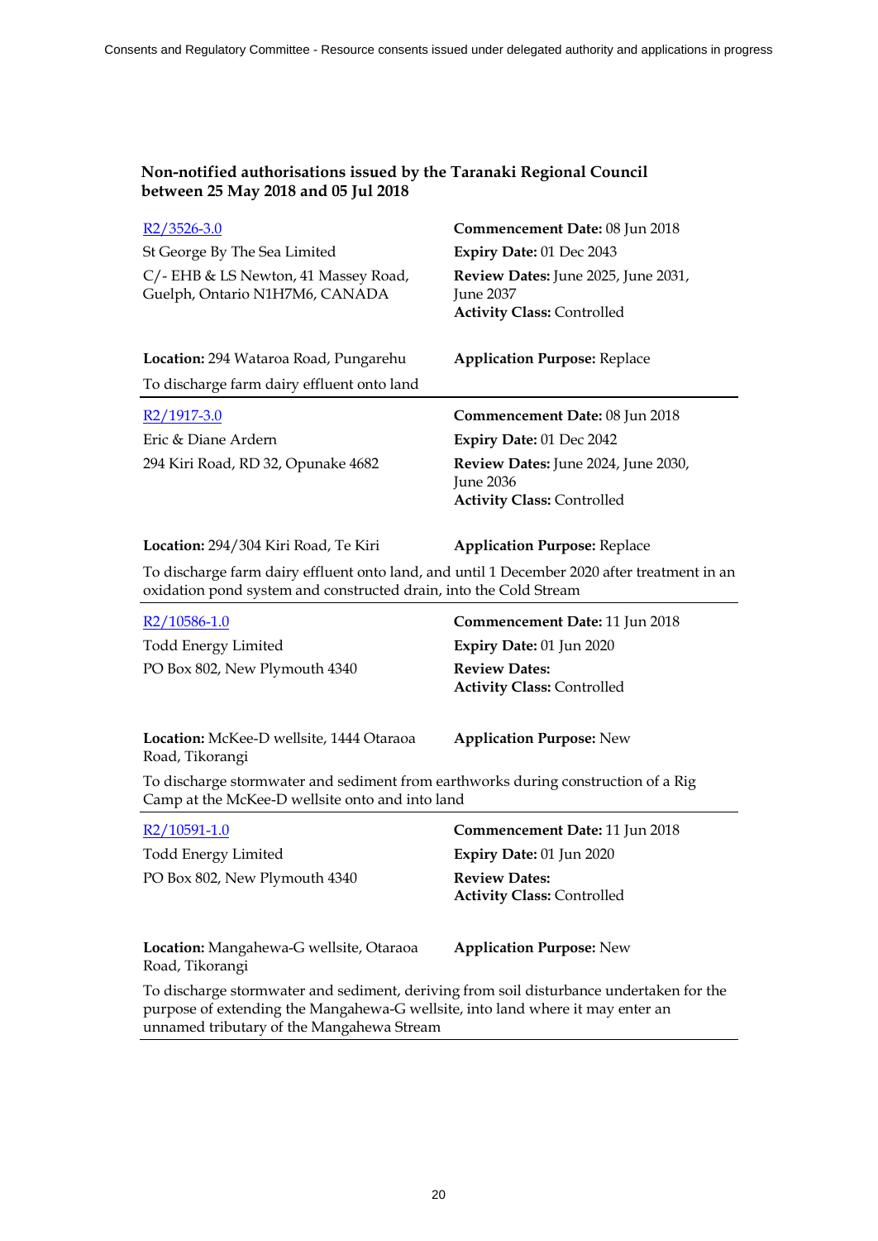| $R2/3526-3.0$                                                                                                                                                                                                          | Commencement Date: 08 Jun 2018                                                               |
|------------------------------------------------------------------------------------------------------------------------------------------------------------------------------------------------------------------------|----------------------------------------------------------------------------------------------|
| St George By The Sea Limited                                                                                                                                                                                           | Expiry Date: 01 Dec 2043                                                                     |
| C/- EHB & LS Newton, 41 Massey Road,<br>Guelph, Ontario N1H7M6, CANADA                                                                                                                                                 | Review Dates: June 2025, June 2031,<br><b>June 2037</b><br><b>Activity Class: Controlled</b> |
| Location: 294 Wataroa Road, Pungarehu                                                                                                                                                                                  | <b>Application Purpose: Replace</b>                                                          |
| To discharge farm dairy effluent onto land                                                                                                                                                                             |                                                                                              |
| R2/1917-3.0                                                                                                                                                                                                            | Commencement Date: 08 Jun 2018                                                               |
| Eric & Diane Ardern                                                                                                                                                                                                    | Expiry Date: 01 Dec 2042                                                                     |
| 294 Kiri Road, RD 32, Opunake 4682                                                                                                                                                                                     | Review Dates: June 2024, June 2030,<br>June 2036<br><b>Activity Class: Controlled</b>        |
| Location: 294/304 Kiri Road, Te Kiri                                                                                                                                                                                   | <b>Application Purpose: Replace</b>                                                          |
| To discharge farm dairy effluent onto land, and until 1 December 2020 after treatment in an<br>oxidation pond system and constructed drain, into the Cold Stream                                                       |                                                                                              |
| R2/10586-1.0                                                                                                                                                                                                           | Commencement Date: 11 Jun 2018                                                               |
| <b>Todd Energy Limited</b>                                                                                                                                                                                             | Expiry Date: 01 Jun 2020                                                                     |
| PO Box 802, New Plymouth 4340                                                                                                                                                                                          | <b>Review Dates:</b><br><b>Activity Class: Controlled</b>                                    |
| Location: McKee-D wellsite, 1444 Otaraoa<br>Road, Tikorangi                                                                                                                                                            | <b>Application Purpose: New</b>                                                              |
| To discharge stormwater and sediment from earthworks during construction of a Rig<br>Camp at the McKee-D wellsite onto and into land                                                                                   |                                                                                              |
| $R2/10591-1.0$                                                                                                                                                                                                         | <b>Commencement Date: 11 Jun 2018</b>                                                        |
| <b>Todd Energy Limited</b>                                                                                                                                                                                             | Expiry Date: 01 Jun 2020                                                                     |
| PO Box 802, New Plymouth 4340                                                                                                                                                                                          | <b>Review Dates:</b><br><b>Activity Class: Controlled</b>                                    |
| Location: Mangahewa-G wellsite, Otaraoa<br>Road, Tikorangi                                                                                                                                                             | <b>Application Purpose: New</b>                                                              |
| To discharge stormwater and sediment, deriving from soil disturbance undertaken for the<br>purpose of extending the Mangahewa-G wellsite, into land where it may enter an<br>unnamed tributary of the Mangahewa Stream |                                                                                              |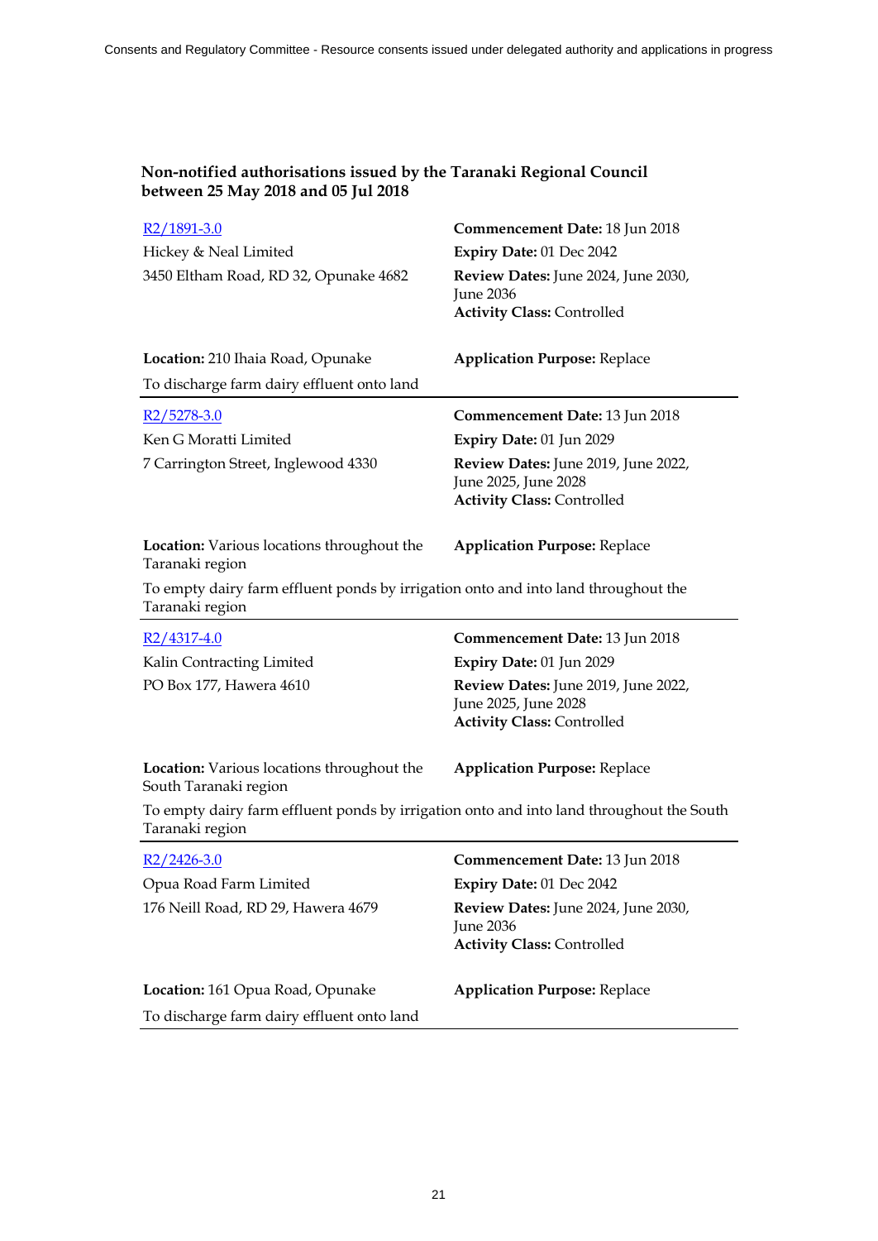| R <sub>2</sub> /1891-3.0                                                                                    | Commencement Date: 18 Jun 2018                                                                   |
|-------------------------------------------------------------------------------------------------------------|--------------------------------------------------------------------------------------------------|
| Hickey & Neal Limited                                                                                       | Expiry Date: 01 Dec 2042                                                                         |
| 3450 Eltham Road, RD 32, Opunake 4682                                                                       | Review Dates: June 2024, June 2030,<br><b>June 2036</b><br><b>Activity Class: Controlled</b>     |
| Location: 210 Ihaia Road, Opunake                                                                           | <b>Application Purpose: Replace</b>                                                              |
| To discharge farm dairy effluent onto land                                                                  |                                                                                                  |
| R2/5278-3.0                                                                                                 | Commencement Date: 13 Jun 2018                                                                   |
| Ken G Moratti Limited                                                                                       | Expiry Date: 01 Jun 2029                                                                         |
| 7 Carrington Street, Inglewood 4330                                                                         | Review Dates: June 2019, June 2022,<br>June 2025, June 2028<br><b>Activity Class: Controlled</b> |
| Location: Various locations throughout the<br>Taranaki region                                               | <b>Application Purpose: Replace</b>                                                              |
| To empty dairy farm effluent ponds by irrigation onto and into land throughout the<br>Taranaki region       |                                                                                                  |
| $R2/4317-4.0$                                                                                               | Commencement Date: 13 Jun 2018                                                                   |
| Kalin Contracting Limited                                                                                   | Expiry Date: 01 Jun 2029                                                                         |
| PO Box 177, Hawera 4610                                                                                     | Review Dates: June 2019, June 2022,                                                              |
|                                                                                                             | June 2025, June 2028<br><b>Activity Class: Controlled</b>                                        |
| Location: Various locations throughout the<br>South Taranaki region                                         | <b>Application Purpose: Replace</b>                                                              |
| To empty dairy farm effluent ponds by irrigation onto and into land throughout the South<br>Taranaki region |                                                                                                  |
| $R2/2426-3.0$                                                                                               | Commencement Date: 13 Jun 2018                                                                   |
| Opua Road Farm Limited                                                                                      | Expiry Date: 01 Dec 2042                                                                         |
| 176 Neill Road, RD 29, Hawera 4679                                                                          | Review Dates: June 2024, June 2030,<br><b>June 2036</b><br><b>Activity Class: Controlled</b>     |
| Location: 161 Opua Road, Opunake                                                                            | <b>Application Purpose: Replace</b>                                                              |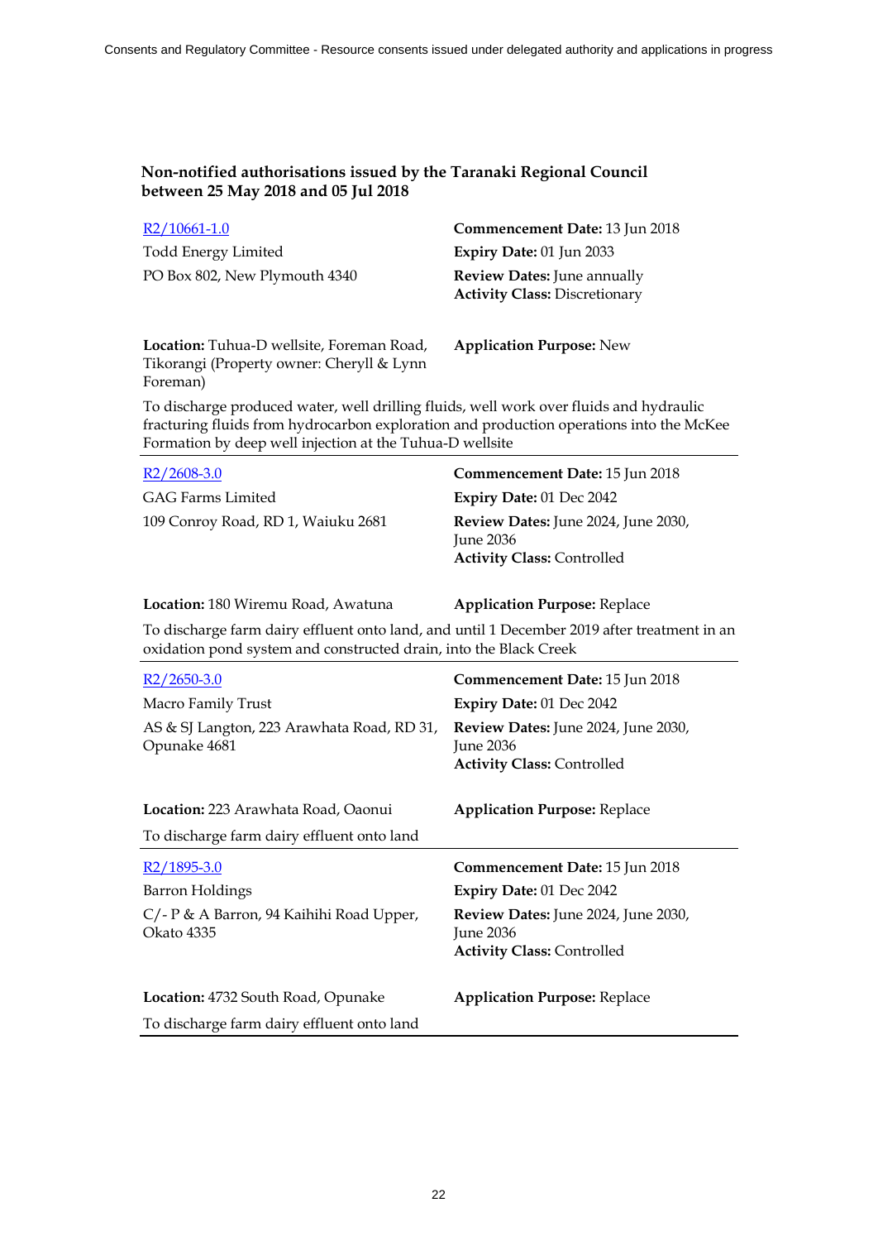| $R2/10661-1.0$                | Commencement Date: 13 Jun 2018                                             |
|-------------------------------|----------------------------------------------------------------------------|
| <b>Todd Energy Limited</b>    | Expiry Date: $01$ Jun 2033                                                 |
| PO Box 802, New Plymouth 4340 | <b>Review Dates:</b> June annually<br><b>Activity Class: Discretionary</b> |

**Location:** Tuhua-D wellsite, Foreman Road, Tikorangi (Property owner: Cheryll & Lynn Foreman)

**Application Purpose:** New

To discharge produced water, well drilling fluids, well work over fluids and hydraulic fracturing fluids from hydrocarbon exploration and production operations into the McKee Formation by deep well injection at the Tuhua-D wellsite

| $R2/2608-3.0$                      | Commencement Date: 15 Jun 2018                                                                 |
|------------------------------------|------------------------------------------------------------------------------------------------|
| GAG Farms Limited                  | Expiry Date: 01 Dec 2042                                                                       |
| 109 Conroy Road, RD 1, Waiuku 2681 | <b>Review Dates:</b> June 2024, June 2030,<br>Iune $2036$<br><b>Activity Class: Controlled</b> |

**Location:** 180 Wiremu Road, Awatuna **Application Purpose:** Replace

To discharge farm dairy effluent onto land, and until 1 December 2019 after treatment in an oxidation pond system and constructed drain, into the Black Creek

| $R2/2650-3.0$                                              | Commencement Date: 15 Jun 2018                                                                      |
|------------------------------------------------------------|-----------------------------------------------------------------------------------------------------|
| Macro Family Trust                                         | <b>Expiry Date: 01 Dec 2042</b>                                                                     |
| AS & SJ Langton, 223 Arawhata Road, RD 31,<br>Opunake 4681 | <b>Review Dates:</b> June 2024, June 2030,<br><b>June 2036</b><br><b>Activity Class: Controlled</b> |
| Location: 223 Arawhata Road, Oaonui                        | <b>Application Purpose: Replace</b>                                                                 |
| To discharge farm dairy effluent onto land                 |                                                                                                     |
|                                                            |                                                                                                     |
| $R2/1895-3.0$                                              | <b>Commencement Date: 15 Jun 2018</b>                                                               |
| Barron Holdings                                            | Expiry Date: 01 Dec 2042                                                                            |
| C/- P & A Barron, 94 Kaihihi Road Upper,<br>Okato 4335     | <b>Review Dates:</b> June 2024, June 2030,<br>June 2036<br><b>Activity Class: Controlled</b>        |
| Location: 4732 South Road, Opunake                         | <b>Application Purpose: Replace</b>                                                                 |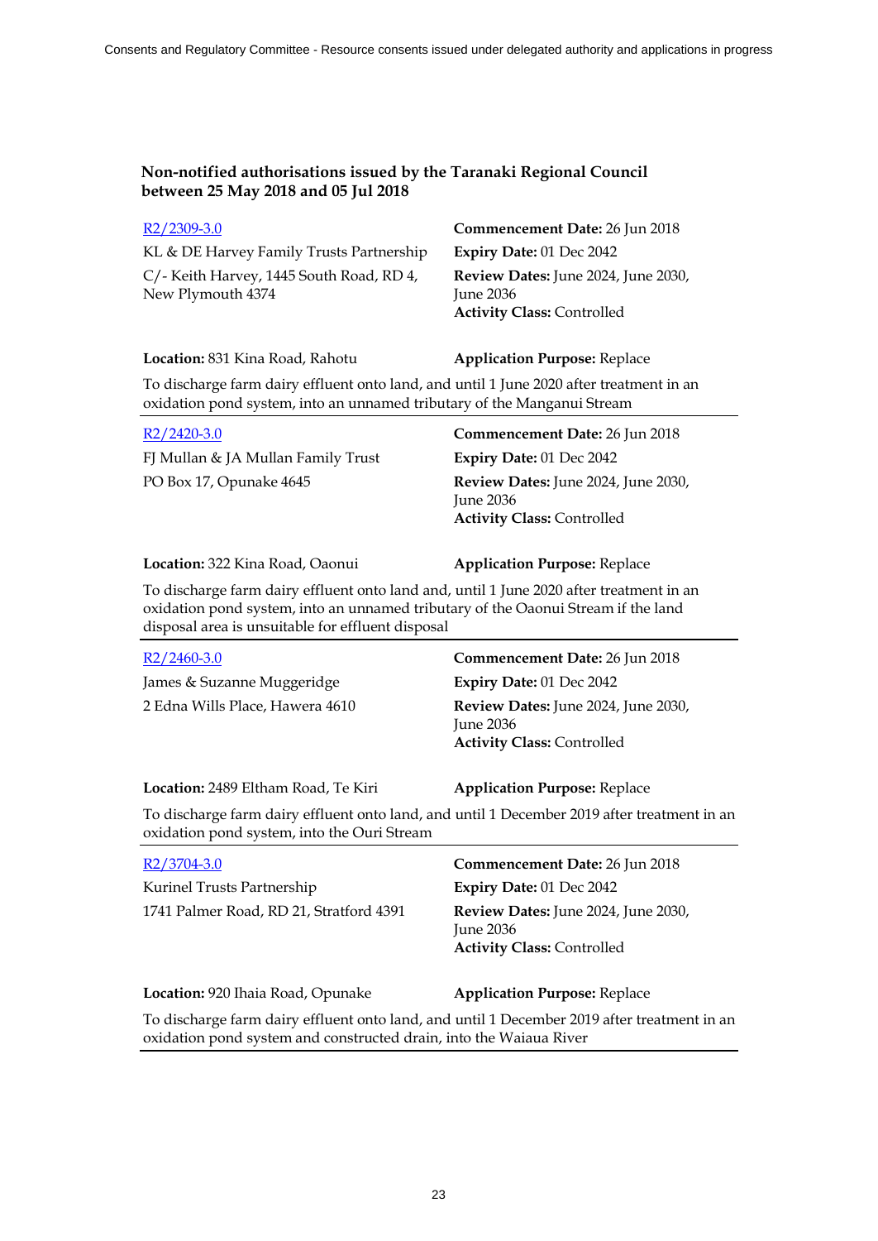| $R2/2309-3.0$                                                 | Commencement Date: 26 Jun 2018                                                          |
|---------------------------------------------------------------|-----------------------------------------------------------------------------------------|
| KL & DE Harvey Family Trusts Partnership                      | Expiry Date: 01 Dec 2042                                                                |
| C/- Keith Harvey, 1445 South Road, RD 4,<br>New Plymouth 4374 | Review Dates: June 2024, June 2030,<br>June $2036$<br><b>Activity Class: Controlled</b> |

### **Location:** 831 Kina Road, Rahotu **Application Purpose:** Replace

To discharge farm dairy effluent onto land, and until 1 June 2020 after treatment in an oxidation pond system, into an unnamed tributary of the Manganui Stream

| $R2/2420-3.0$                      | Commencement Date: 26 Jun 2018                                                               |
|------------------------------------|----------------------------------------------------------------------------------------------|
| FJ Mullan & JA Mullan Family Trust | Expiry Date: $01$ Dec $2042$                                                                 |
| PO Box 17, Opunake 4645            | Review Dates: June 2024, June 2030,<br><b>Iune 2036</b><br><b>Activity Class: Controlled</b> |

#### **Location:** 322 Kina Road, Oaonui **Application Purpose:** Replace

To discharge farm dairy effluent onto land and, until 1 June 2020 after treatment in an oxidation pond system, into an unnamed tributary of the Oaonui Stream if the land disposal area is unsuitable for effluent disposal

| $R2/2460-3.0$                                                                                                                              | <b>Commencement Date: 26 Jun 2018</b>                                                   |
|--------------------------------------------------------------------------------------------------------------------------------------------|-----------------------------------------------------------------------------------------|
| James & Suzanne Muggeridge                                                                                                                 | Expiry Date: 01 Dec 2042                                                                |
| 2 Edna Wills Place, Hawera 4610                                                                                                            | Review Dates: June 2024, June 2030,<br>June $2036$<br><b>Activity Class: Controlled</b> |
| <b>Location: 2489 Eltham Road, Te Kiri</b>                                                                                                 | <b>Application Purpose: Replace</b>                                                     |
| To discharge farm dairy effluent onto land, and until 1 December 2019 after treatment in an<br>oxidation pond system, into the Ouri Stream |                                                                                         |
| R <sub>2</sub> /3704-3.0                                                                                                                   | Commencement Date: 26 Jun 2018                                                          |
| Kurinel Trusts Partnership                                                                                                                 | Expiry Date: $01$ Dec $2042$                                                            |
| 1741 Palmer Road, RD 21, Stratford 4391                                                                                                    | Review Dates: June 2024, June 2030,                                                     |

June 2036 **Activity Class:** Controlled

**Location:** 920 Ihaia Road, Opunake **Application Purpose:** Replace

To discharge farm dairy effluent onto land, and until 1 December 2019 after treatment in an oxidation pond system and constructed drain, into the Waiaua River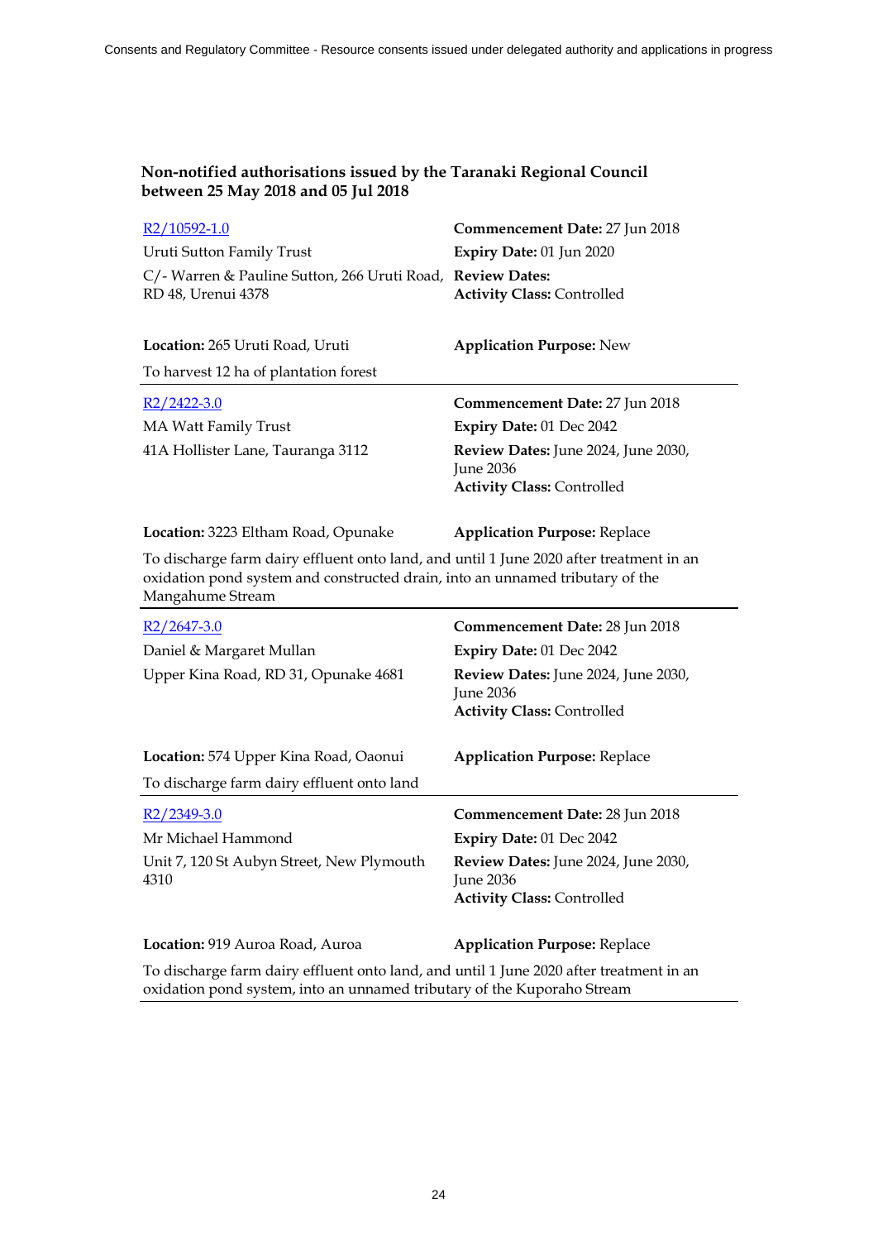| R <sub>2</sub> /10592-1.0                                                                                                                                                                    | Commencement Date: 27 Jun 2018                                                               |
|----------------------------------------------------------------------------------------------------------------------------------------------------------------------------------------------|----------------------------------------------------------------------------------------------|
| Uruti Sutton Family Trust                                                                                                                                                                    | Expiry Date: 01 Jun 2020                                                                     |
| C/- Warren & Pauline Sutton, 266 Uruti Road, Review Dates:<br>RD 48, Urenui 4378                                                                                                             | <b>Activity Class: Controlled</b>                                                            |
| Location: 265 Uruti Road, Uruti                                                                                                                                                              | <b>Application Purpose: New</b>                                                              |
| To harvest 12 ha of plantation forest                                                                                                                                                        |                                                                                              |
| $R2/2422-3.0$                                                                                                                                                                                | Commencement Date: 27 Jun 2018                                                               |
| <b>MA Watt Family Trust</b>                                                                                                                                                                  | Expiry Date: 01 Dec 2042                                                                     |
| 41A Hollister Lane, Tauranga 3112                                                                                                                                                            | Review Dates: June 2024, June 2030,<br><b>June 2036</b><br><b>Activity Class: Controlled</b> |
| Location: 3223 Eltham Road, Opunake                                                                                                                                                          | <b>Application Purpose: Replace</b>                                                          |
|                                                                                                                                                                                              |                                                                                              |
| To discharge farm dairy effluent onto land, and until 1 June 2020 after treatment in an<br>oxidation pond system and constructed drain, into an unnamed tributary of the<br>Mangahume Stream |                                                                                              |
| $R2/2647-3.0$                                                                                                                                                                                | Commencement Date: 28 Jun 2018                                                               |
| Daniel & Margaret Mullan                                                                                                                                                                     | Expiry Date: 01 Dec 2042                                                                     |
| Upper Kina Road, RD 31, Opunake 4681                                                                                                                                                         | Review Dates: June 2024, June 2030,<br><b>June 2036</b>                                      |
|                                                                                                                                                                                              | <b>Activity Class: Controlled</b>                                                            |
| Location: 574 Upper Kina Road, Oaonui                                                                                                                                                        | <b>Application Purpose: Replace</b>                                                          |
| To discharge farm dairy effluent onto land                                                                                                                                                   |                                                                                              |

Mr Michael Hammond **Expiry Date:** 01 Dec 2042 Unit 7, 120 St Aubyn Street, New Plymouth 4310 **Review Dates:** June 2024, June 2030, June 2036 **Activity Class:** Controlled **Location:** 919 Auroa Road, Auroa **Application Purpose:** Replace

To discharge farm dairy effluent onto land, and until 1 June 2020 after treatment in an oxidation pond system, into an unnamed tributary of the Kuporaho Stream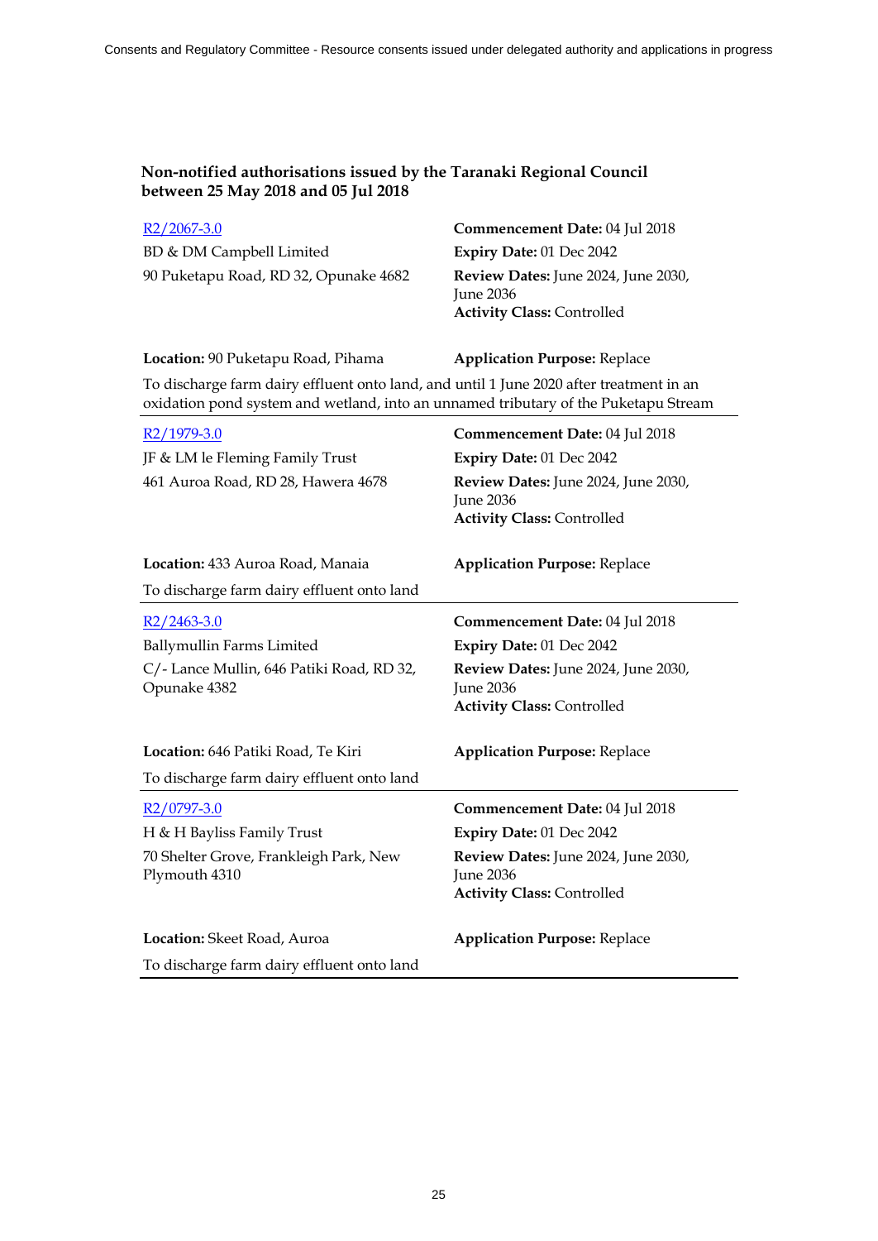| $R2/2067-3.0$                         | Commencement Date: 04 Jul 2018                                                        |
|---------------------------------------|---------------------------------------------------------------------------------------|
| BD & DM Campbell Limited              | Expiry Date: 01 Dec 2042                                                              |
| 90 Puketapu Road, RD 32, Opunake 4682 | Review Dates: June 2024, June 2030,<br>June 2036<br><b>Activity Class: Controlled</b> |

### **Location:** 90 Puketapu Road, Pihama **Application Purpose:** Replace

To discharge farm dairy effluent onto land, and until 1 June 2020 after treatment in an oxidation pond system and wetland, into an unnamed tributary of the Puketapu Stream

| R <sub>2</sub> /1979-3.0                                  | Commencement Date: 04 Jul 2018                                                               |
|-----------------------------------------------------------|----------------------------------------------------------------------------------------------|
| JF & LM le Fleming Family Trust                           | Expiry Date: 01 Dec 2042                                                                     |
| 461 Auroa Road, RD 28, Hawera 4678                        | Review Dates: June 2024, June 2030,<br><b>June 2036</b><br><b>Activity Class: Controlled</b> |
| Location: 433 Auroa Road, Manaia                          | <b>Application Purpose: Replace</b>                                                          |
| To discharge farm dairy effluent onto land                |                                                                                              |
| $R2/2463-3.0$                                             | Commencement Date: 04 Jul 2018                                                               |
| Ballymullin Farms Limited                                 | Expiry Date: 01 Dec 2042                                                                     |
| C/- Lance Mullin, 646 Patiki Road, RD 32,<br>Opunake 4382 | Review Dates: June 2024, June 2030,<br><b>June 2036</b><br><b>Activity Class: Controlled</b> |
| Location: 646 Patiki Road, Te Kiri                        | <b>Application Purpose: Replace</b>                                                          |
| To discharge farm dairy effluent onto land                |                                                                                              |
| $R2/0797-3.0$                                             | Commencement Date: 04 Jul 2018                                                               |
| H & H Bayliss Family Trust                                | Expiry Date: 01 Dec 2042                                                                     |
| 70 Shelter Grove, Frankleigh Park, New<br>Plymouth 4310   | Review Dates: June 2024, June 2030,<br><b>June 2036</b><br><b>Activity Class: Controlled</b> |
| Location: Skeet Road, Auroa                               | <b>Application Purpose: Replace</b>                                                          |
| To discharge farm dairy effluent onto land                |                                                                                              |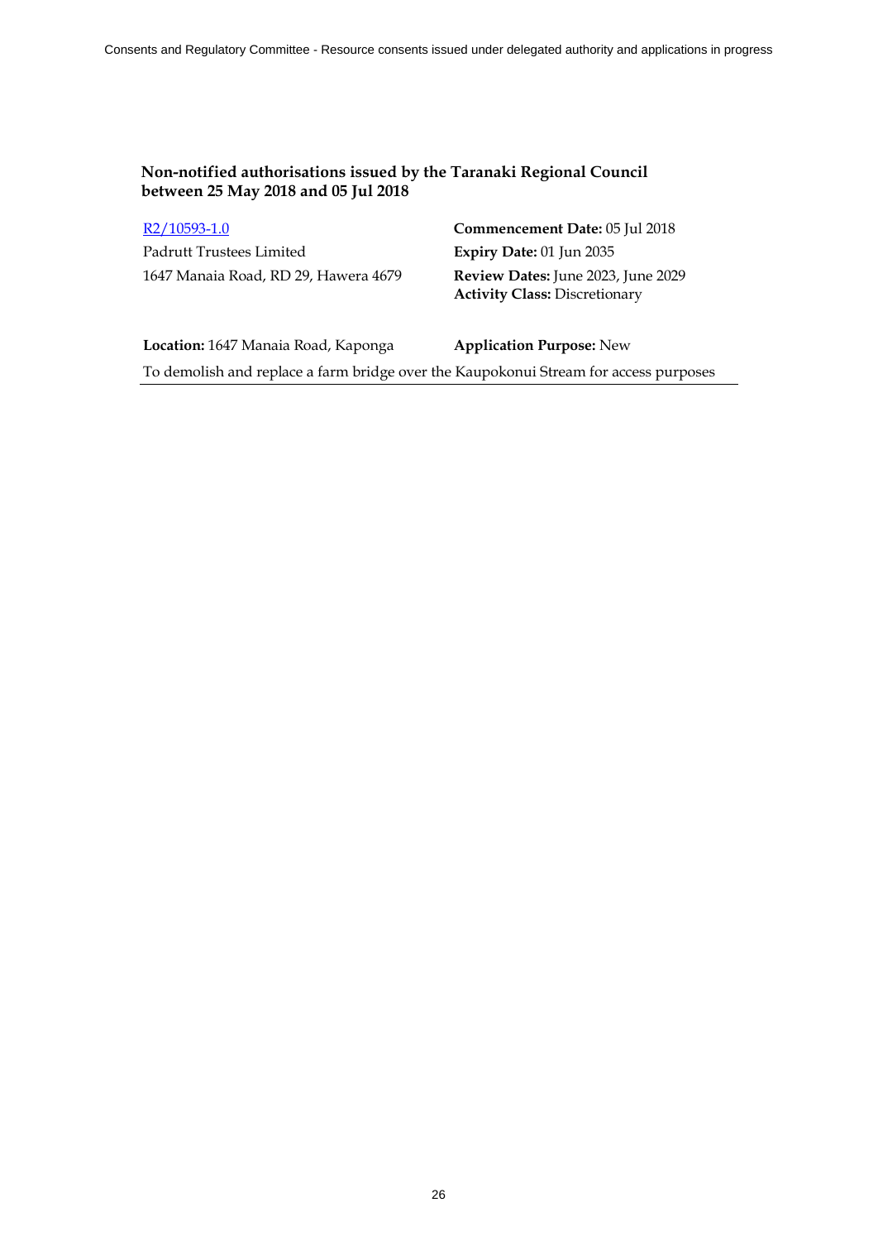# Padrutt Trustees Limited **Expiry Date:** 01 Jun 2035 1647 Manaia Road, RD 29, Hawera 4679 **Review Dates:** June 2023, June 2029

R2/10593-1.0 **Commencement Date:** 05 Jul 2018 **Activity Class:** Discretionary

**Location:** 1647 Manaia Road, Kaponga **Application Purpose:** New To demolish and replace a farm bridge over the Kaupokonui Stream for access purposes